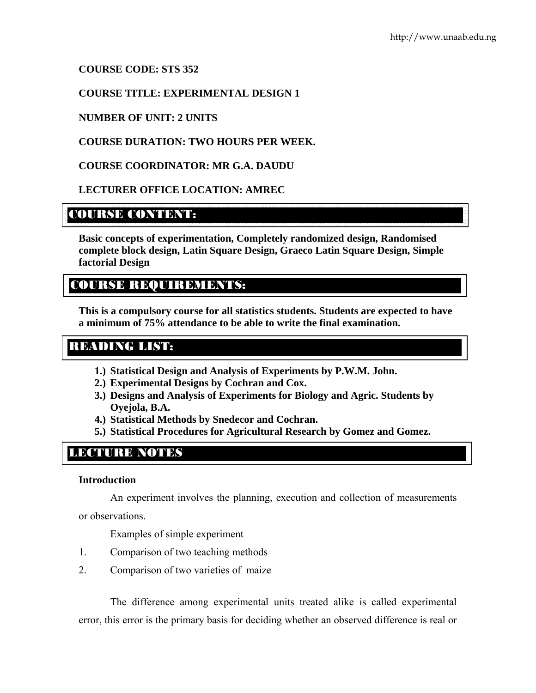**COURSE CODE: STS 352** 

**COURSE TITLE: EXPERIMENTAL DESIGN 1** 

# **NUMBER OF UNIT: 2 UNITS**

# **COURSE DURATION: TWO HOURS PER WEEK.**

**COURSE COORDINATOR: MR G.A. DAUDU** 

# **LECTURER OFFICE LOCATION: AMREC**

# COURSE CONTENT:

**Basic concepts of experimentation, Completely randomized design, Randomised complete block design, Latin Square Design, Graeco Latin Square Design, Simple factorial Design** 

# COURSE REQUIREMENTS:

**This is a compulsory course for all statistics students. Students are expected to have a minimum of 75% attendance to be able to write the final examination.** 

# READING LIST:

- **1.) Statistical Design and Analysis of Experiments by P.W.M. John.**
- **2.) Experimental Designs by Cochran and Cox.**
- **3.) Designs and Analysis of Experiments for Biology and Agric. Students by Oyejola, B.A.**
- **4.) Statistical Methods by Snedecor and Cochran.**
- **5.) Statistical Procedures for Agricultural Research by Gomez and Gomez.**

# LECTURE NOTES

## **Introduction**

An experiment involves the planning, execution and collection of measurements

or observations.

Examples of simple experiment

- 1. Comparison of two teaching methods
- 2. Comparison of two varieties of maize

The difference among experimental units treated alike is called experimental error, this error is the primary basis for deciding whether an observed difference is real or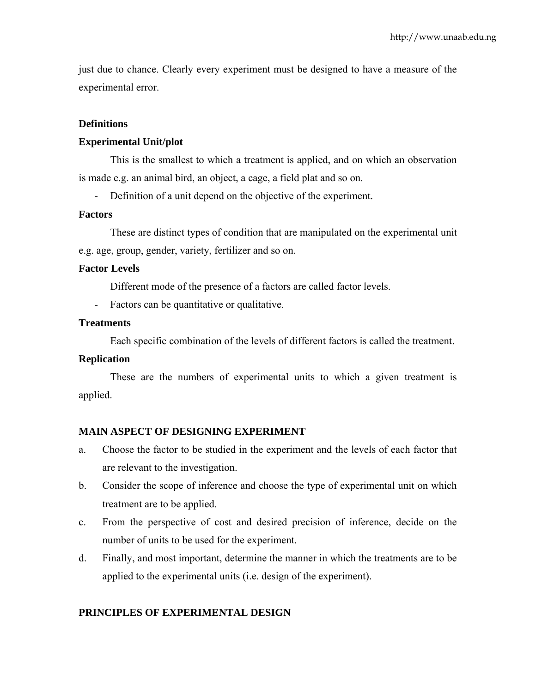just due to chance. Clearly every experiment must be designed to have a measure of the experimental error.

## **Definitions**

## **Experimental Unit/plot**

This is the smallest to which a treatment is applied, and on which an observation is made e.g. an animal bird, an object, a cage, a field plat and so on.

- Definition of a unit depend on the objective of the experiment.

## **Factors**

These are distinct types of condition that are manipulated on the experimental unit e.g. age, group, gender, variety, fertilizer and so on.

## **Factor Levels**

Different mode of the presence of a factors are called factor levels.

- Factors can be quantitative or qualitative.

## **Treatments**

Each specific combination of the levels of different factors is called the treatment.

## **Replication**

These are the numbers of experimental units to which a given treatment is applied.

## **MAIN ASPECT OF DESIGNING EXPERIMENT**

- a. Choose the factor to be studied in the experiment and the levels of each factor that are relevant to the investigation.
- b. Consider the scope of inference and choose the type of experimental unit on which treatment are to be applied.
- c. From the perspective of cost and desired precision of inference, decide on the number of units to be used for the experiment.
- d. Finally, and most important, determine the manner in which the treatments are to be applied to the experimental units (i.e. design of the experiment).

## **PRINCIPLES OF EXPERIMENTAL DESIGN**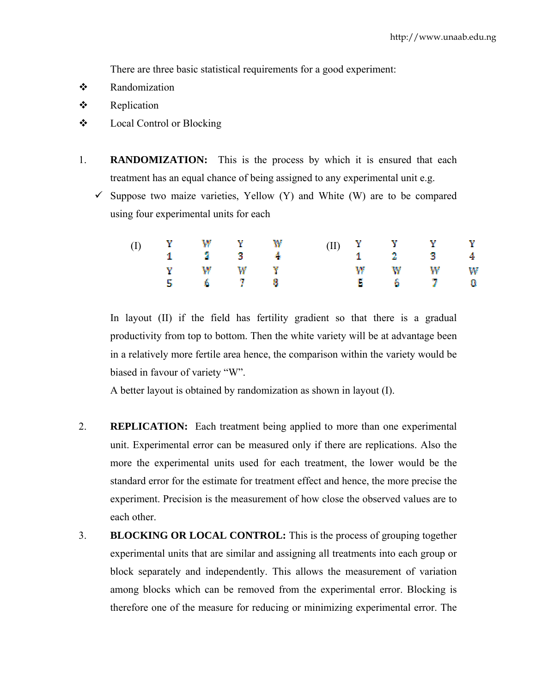There are three basic statistical requirements for a good experiment:

- Randomization
- $\bullet$  Replication
- Local Control or Blocking
- 1. **RANDOMIZATION:** This is the process by which it is ensured that each treatment has an equal chance of being assigned to any experimental unit e.g.
	- $\checkmark$  Suppose two maize varieties, Yellow (Y) and White (W) are to be compared using four experimental units for each

|  | (I) Y W Y W                 |  |  | $\begin{array}{cccccccccccccc} \text{(II)} & \begin{array}{lcccccc} \text{Y} & & \text{Y} & & \text{Y} & & \text{Y} \\ \text{1} & \text{2} & & \text{3} & & \text{4} \end{array} & & & & \end{array}$ |  |
|--|-----------------------------|--|--|-------------------------------------------------------------------------------------------------------------------------------------------------------------------------------------------------------|--|
|  | $1 \t 3 \t 3 \t 4$<br>Y W W |  |  | W W W W                                                                                                                                                                                               |  |
|  | 5 6 7 8                     |  |  | $\begin{array}{ccccccccccccc}\n5 & & 6 & & 7 & & 0\n\end{array}$                                                                                                                                      |  |

In layout (II) if the field has fertility gradient so that there is a gradual productivity from top to bottom. Then the white variety will be at advantage been in a relatively more fertile area hence, the comparison within the variety would be biased in favour of variety "W".

A better layout is obtained by randomization as shown in layout (I).

- 2. **REPLICATION:** Each treatment being applied to more than one experimental unit. Experimental error can be measured only if there are replications. Also the more the experimental units used for each treatment, the lower would be the standard error for the estimate for treatment effect and hence, the more precise the experiment. Precision is the measurement of how close the observed values are to each other.
- 3. **BLOCKING OR LOCAL CONTROL:** This is the process of grouping together experimental units that are similar and assigning all treatments into each group or block separately and independently. This allows the measurement of variation among blocks which can be removed from the experimental error. Blocking is therefore one of the measure for reducing or minimizing experimental error. The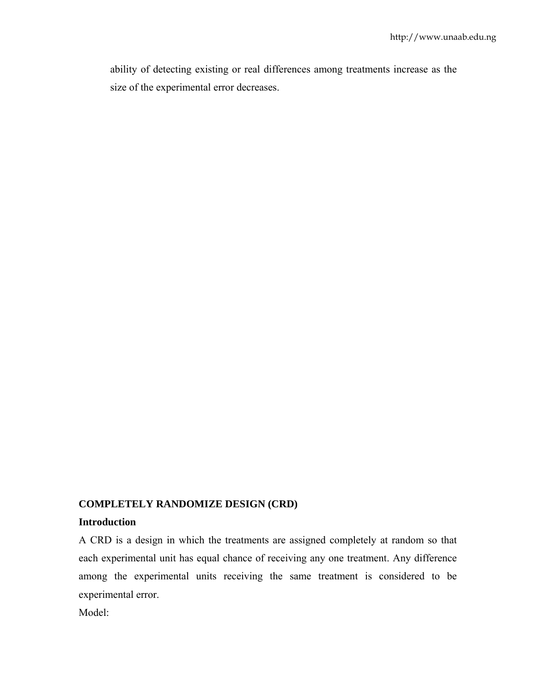ability of detecting existing or real differences among treatments increase as the size of the experimental error decreases.

# **COMPLETELY RANDOMIZE DESIGN (CRD)**

# **Introduction**

A CRD is a design in which the treatments are assigned completely at random so that each experimental unit has equal chance of receiving any one treatment. Any difference among the experimental units receiving the same treatment is considered to be experimental error.

Model: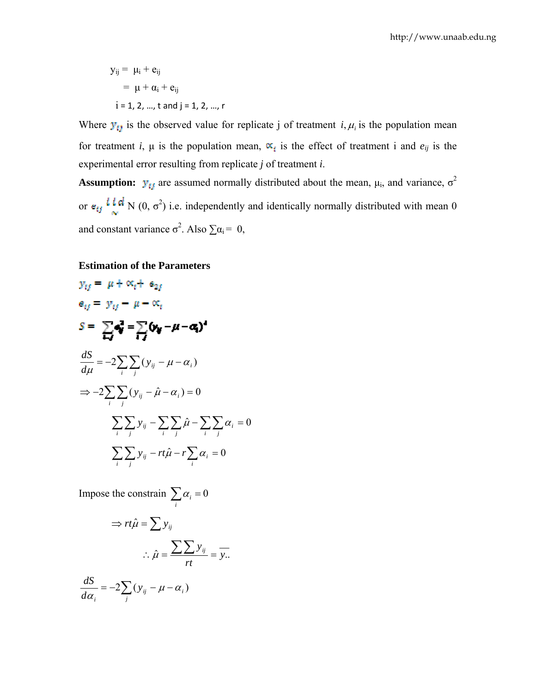$$
y_{ij} = \mu_i + e_{ij}
$$
  
=  $\mu + \alpha_i + e_{ij}$   
i = 1, 2, ..., t and j = 1, 2, ..., r

Where  $y_{ij}$  is the observed value for replicate j of treatment *i*,  $\mu_i$  is the population mean for treatment *i*,  $\mu$  is the population mean,  $\alpha_i$  is the effect of treatment i and  $e_{ij}$  is the experimental error resulting from replicate *j* of treatment *i*.

**Assumption:**  $\mathbf{y}_{\text{f}}$  are assumed normally distributed about the mean,  $\mu_i$ , and variance,  $\sigma^2$ or  $e_{ij}$  **i.e.**  $\mathbf{a} \cdot \mathbf{b}$  (0,  $\sigma^2$ ) i.e. independently and identically normally distributed with mean 0 and constant variance  $\sigma^2$ . Also  $\sum \alpha_i = 0$ ,

#### **Estimation of the Parameters**

$$
y_{ij} = \mu + \alpha_i + \alpha_{2i}
$$
  
\n
$$
a_{ij} = y_{ij} - \mu - \alpha_i
$$
  
\n
$$
S = \sum_i \mathbf{d}_i^2 = \sum_j (\mathbf{y}_{ij} - \mu - \mathbf{d}_i)^2
$$
  
\n
$$
\frac{dS}{d\mu} = -2 \sum_i \sum_j (y_{ij} - \mu - \alpha_i)
$$
  
\n
$$
\Rightarrow -2 \sum_i \sum_j (y_{ij} - \hat{\mu} - \alpha_i) = 0
$$
  
\n
$$
\sum_i \sum_j y_{ij} - \sum_i \sum_j \hat{\mu} - \sum_i \sum_j \alpha_i = 0
$$
  
\n
$$
\sum_i \sum_j y_{ij} - rt\hat{\mu} - r \sum_i \alpha_i = 0
$$

Impose the constrain  $\sum_i \alpha_i = 0$ 

$$
\Rightarrow rt\hat{\mu} = \sum y_{ij}
$$

$$
\therefore \hat{\mu} = \frac{\sum \sum y_{ij}}{rt} = \overline{y}.
$$

$$
\frac{dS}{d\alpha_i} = -2\sum_j (y_{ij} - \mu - \alpha_i)
$$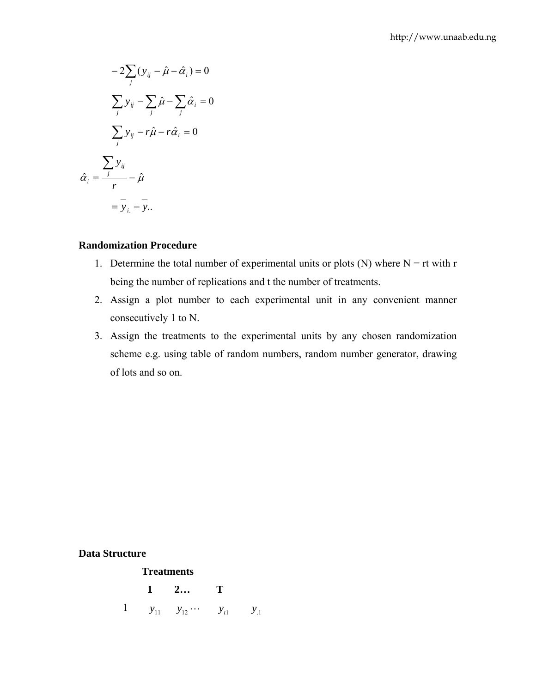$$
-2\sum_{j} (y_{ij} - \hat{\mu} - \hat{\alpha}_i) = 0
$$

$$
\sum_{j} y_{ij} - \sum_{j} \hat{\mu} - \sum_{j} \hat{\alpha}_i = 0
$$

$$
\sum_{j} y_{ij} - r\hat{\mu} - r\hat{\alpha}_i = 0
$$

$$
\hat{\alpha}_i = \frac{\sum_{j} y_{ij}}{r} - \hat{\mu}
$$

$$
= \bar{y}_i - \bar{y}...
$$

## **Randomization Procedure**

- 1. Determine the total number of experimental units or plots (N) where  $N = rt$  with r being the number of replications and t the number of treatments.
- 2. Assign a plot number to each experimental unit in any convenient manner consecutively 1 to N.
- 3. Assign the treatments to the experimental units by any chosen randomization scheme e.g. using table of random numbers, random number generator, drawing of lots and so on.

**Data Structure** 

#### **Treatments**

1 2... T  
1 
$$
y_{11}
$$
  $y_{12}$  ...  $y_{t1}$   $y_{.1}$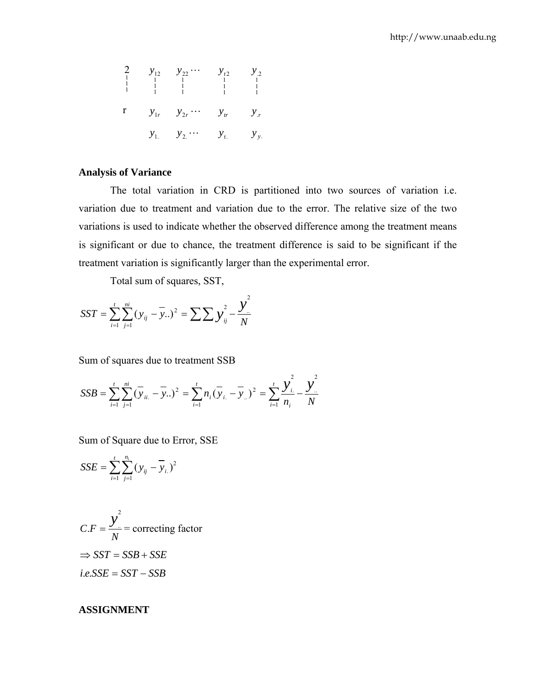2 
$$
y_{12}
$$
  $y_{22}$   $\cdots$   $y_{t2}$   $y_{.2}$   
\n $\begin{array}{cccccc}\n1 & 1 & 1 & 1 & 1 \\
1 & 1 & 1 & 1 & 1 \\
1 & 1 & 1 & 1 & 1 \\
1 & 1 & 1 & 1 & 1\n\end{array}$   
\n $\mathbf{r}$   $\mathbf{y}_{1r}$   $\mathbf{y}_{2r}$   $\cdots$   $\mathbf{y}_{tr}$   $\mathbf{y}_{.r}$   
\n $\mathbf{y}_{1}$   $\mathbf{y}_{2}$   $\cdots$   $\mathbf{y}_{t}$   $\mathbf{y}_{y}$ 

# **Analysis of Variance**

The total variation in CRD is partitioned into two sources of variation i.e. variation due to treatment and variation due to the error. The relative size of the two variations is used to indicate whether the observed difference among the treatment means is significant or due to chance, the treatment difference is said to be significant if the treatment variation is significantly larger than the experimental error.

Total sum of squares, SST,

$$
SST = \sum_{i=1}^{t} \sum_{j=1}^{ni} (y_{ij} - \overline{y}_{..})^2 = \sum \sum y_{ij}^2 - \frac{y^2}{N}
$$

Sum of squares due to treatment SSB

$$
SSB = \sum_{i=1}^{t} \sum_{j=1}^{ni} (\overline{y}_{ii.} - \overline{y}_{..})^2 = \sum_{i=1}^{t} n_i (\overline{y}_{i.} - \overline{y}_{..})^2 = \sum_{i=1}^{t} \frac{y_i^2}{n_i} - \frac{y_i^2}{N}
$$

Sum of Square due to Error, SSE

$$
SSE = \sum_{i=1}^{t} \sum_{j=1}^{n_i} (y_{ij} - \overline{y}_{i.})^2
$$

$$
C.F = \frac{y^2}{N} = \text{correcting factor}
$$
  
\n
$$
\Rightarrow SST = SSB + SSE
$$
  
\ni.e.SSE = SST - SSB

#### **ASSIGNMENT**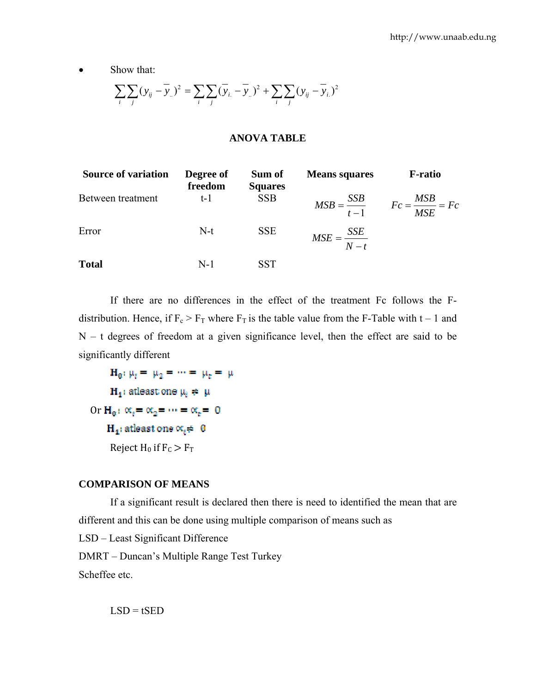• Show that:

$$
\sum_{i} \sum_{j} (y_{ij} - \overline{y}_{i.})^2 = \sum_{i} \sum_{j} (\overline{y}_{i.} - \overline{y}_{i.})^2 + \sum_{i} \sum_{j} (y_{ij} - \overline{y}_{i.})^2
$$

## **ANOVA TABLE**

| <b>Source of variation</b> | Degree of<br>freedom | Sum of<br><b>Squares</b> | <b>Means squares</b>    | <b>F-ratio</b>                                      |
|----------------------------|----------------------|--------------------------|-------------------------|-----------------------------------------------------|
| Between treatment          | $t-1$                | <b>SSB</b>               |                         | $MSB = \frac{SSB}{t-1}$ $Fc = \frac{MSB}{MSE} = Fc$ |
| Error                      | $N-t$                | <b>SSE</b>               | $MSE = \frac{SSE}{N-t}$ |                                                     |
| <b>Total</b>               | $N-1$                | SST                      |                         |                                                     |

If there are no differences in the effect of the treatment Fc follows the Fdistribution. Hence, if  $F_c > F_T$  where  $F_T$  is the table value from the F-Table with t – 1 and  $N - t$  degrees of freedom at a given significance level, then the effect are said to be significantly different

 $H_0: \mu_t = \mu_2 = \cdots = \mu_t = \mu$  $H_4$ : atleast one  $\mu_i \neq \mu$ Or  $H_0: \alpha_t = \alpha_2 = \cdots = \alpha_t = 0$  $H_4$ : atleast one  $\alpha_i \neq 0$ Reject  $H_0$  if  $F_C > F_T$ 

## **COMPARISON OF MEANS**

If a significant result is declared then there is need to identified the mean that are different and this can be done using multiple comparison of means such as

LSD – Least Significant Difference

DMRT – Duncan's Multiple Range Test Turkey

Scheffee etc.

 $LSD = tSED$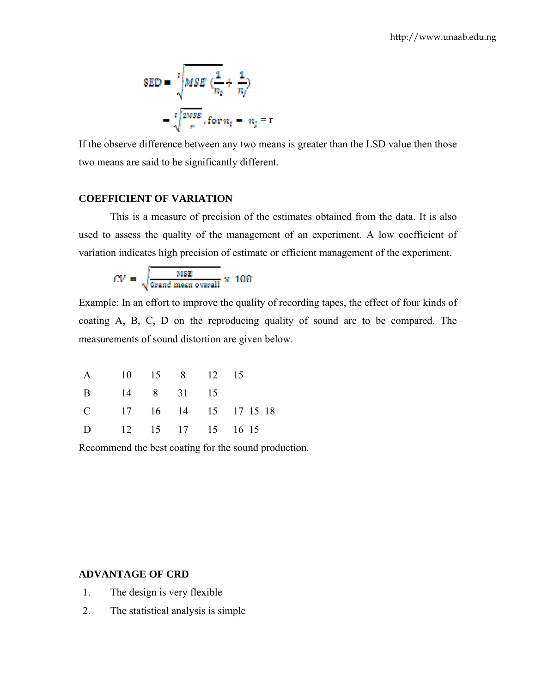$$
SED = \sqrt[1]{MSE\left(\frac{1}{n_e} + \frac{1}{n_f}\right)}
$$

$$
= \sqrt[1]{\frac{2MSE}{r}}, \text{for } n_t = n_j = r
$$

If the observe difference between any two means is greater than the LSD value then those two means are said to be significantly different.

## **COEFFICIENT OF VARIATION**

This is a measure of precision of the estimates obtained from the data. It is also used to assess the quality of the management of an experiment. A low coefficient of variation indicates high precision of estimate or efficient management of the experiment.

$$
CV = \sqrt{\frac{\text{MSE}}{\text{Grand mean overall}}} \times 100
$$

Example: In an effort to improve the quality of recording tapes, the effect of four kinds of coating A, B, C, D on the reproducing quality of sound are to be compared. The measurements of sound distortion are given below.

| A 10 15 8 12 15 |  |  |                        |
|-----------------|--|--|------------------------|
| B 14 8 31 15    |  |  |                        |
|                 |  |  | C 17 16 14 15 17 15 18 |
|                 |  |  | D 12 15 17 15 16 15    |

Recommend the best coating for the sound production.

## **ADVANTAGE OF CRD**

- 1. The design is very flexible
- 2. The statistical analysis is simple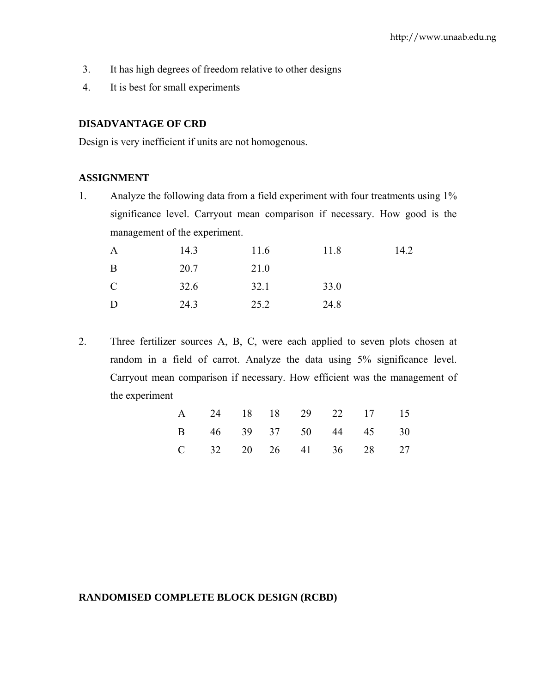- 3. It has high degrees of freedom relative to other designs
- 4. It is best for small experiments

## **DISADVANTAGE OF CRD**

Design is very inefficient if units are not homogenous.

#### **ASSIGNMENT**

1. Analyze the following data from a field experiment with four treatments using 1% significance level. Carryout mean comparison if necessary. How good is the management of the experiment.

| $\mathbf{A}$  | 14.3 | 11.6 | 11.8 | 14.2 |
|---------------|------|------|------|------|
| B             | 20.7 | 21.0 |      |      |
| $\mathcal{C}$ | 32.6 | 32.1 | 33.0 |      |
| D             | 24.3 | 25.2 | 24.8 |      |

2. Three fertilizer sources A, B, C, were each applied to seven plots chosen at random in a field of carrot. Analyze the data using 5% significance level. Carryout mean comparison if necessary. How efficient was the management of the experiment

|  |  |  | A 24 18 18 29 22 17 15 |  |
|--|--|--|------------------------|--|
|  |  |  | B 46 39 37 50 44 45 30 |  |
|  |  |  | C 32 20 26 41 36 28 27 |  |

# **RANDOMISED COMPLETE BLOCK DESIGN (RCBD)**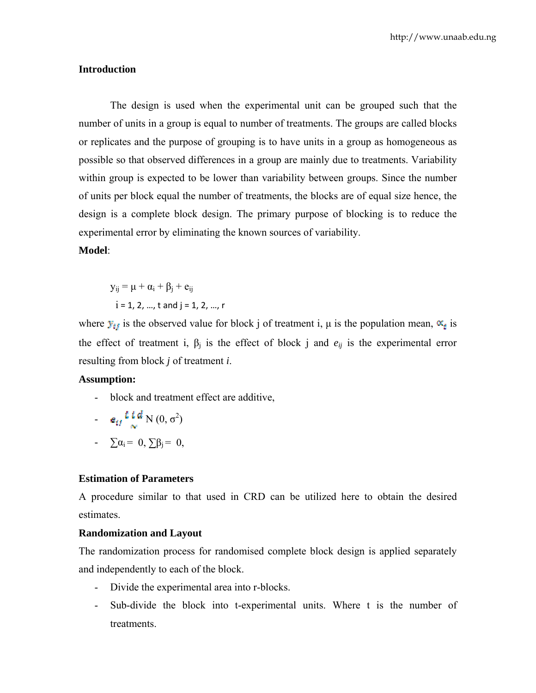#### **Introduction**

The design is used when the experimental unit can be grouped such that the number of units in a group is equal to number of treatments. The groups are called blocks or replicates and the purpose of grouping is to have units in a group as homogeneous as possible so that observed differences in a group are mainly due to treatments. Variability within group is expected to be lower than variability between groups. Since the number of units per block equal the number of treatments, the blocks are of equal size hence, the design is a complete block design. The primary purpose of blocking is to reduce the experimental error by eliminating the known sources of variability.

# **Model**:

 $y_{ii} = \mu + \alpha_i + \beta_i + e_{ii}$  $i = 1, 2, ..., t$  and  $j = 1, 2, ..., r$ 

where  $y_{ij}$  is the observed value for block j of treatment i,  $\mu$  is the population mean,  $\alpha_{ij}$  is the effect of treatment i,  $\beta_j$  is the effect of block j and  $e_{ij}$  is the experimental error resulting from block *j* of treatment *i*.

#### **Assumption:**

- block and treatment effect are additive,

$$
= e_{ij} \frac{\boldsymbol{\ell} \boldsymbol{\ell} \boldsymbol{d}}{\boldsymbol{\alpha}} N(0, \sigma^2)
$$

$$
= \sum \alpha_i = 0, \sum \beta_j = 0,
$$

## **Estimation of Parameters**

A procedure similar to that used in CRD can be utilized here to obtain the desired estimates.

#### **Randomization and Layout**

The randomization process for randomised complete block design is applied separately and independently to each of the block.

- Divide the experimental area into r-blocks.
- Sub-divide the block into t-experimental units. Where t is the number of **treatments**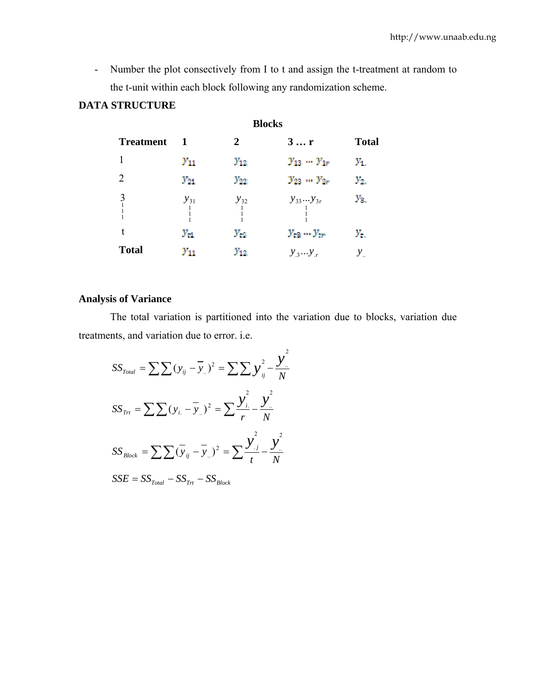- Number the plot consectively from I to t and assign the t-treatment at random to the t-unit within each block following any randomization scheme.

# **DATA STRUCTURE**

|                                                  |                           |              | <b>Blocks</b>         |                              |
|--------------------------------------------------|---------------------------|--------------|-----------------------|------------------------------|
| <b>Treatment</b>                                 | -1                        | $\mathbf{2}$ | 3r                    | <b>Total</b>                 |
|                                                  | $\mathcal{Y}_{11}$        | $y_{12}$     | $y_{13} - y_{19}$     | $y_{1.}$                     |
| 2                                                | $y_{21}$                  | $y_{22}$     | $y_{23} = y_{2r}$     | $\mathcal{V}_{\mathbf{Z}_n}$ |
| 3<br>$\begin{bmatrix} 1 \\ 1 \\ 1 \end{bmatrix}$ | $y_{31}$<br>$\frac{1}{1}$ | $y_{32}$     | $y_{33}y_{3r}$        | $\mathcal{V}_{3}$            |
|                                                  | $y_{t1}$                  | $y_{\rm cr}$ | $y_{ex} \dots y_{cr}$ | $\mathcal{Y}_{t_n}$          |
| <b>Total</b>                                     | $\mathcal{Y}_{11}$        | $y_{12}$     | $y_3y_r$              | $y_{\ldots}$                 |

# **Analysis of Variance**

The total variation is partitioned into the variation due to blocks, variation due treatments, and variation due to error. i.e.

$$
SS_{Total} = \sum \sum (y_{ij} - \overline{y}_{..})^2 = \sum \sum y_{ij}^2 - \frac{y^2}{N}
$$
  

$$
SS_{Trt} = \sum \sum (y_{i.} - \overline{y}_{..})^2 = \sum \frac{y_{i.}^2}{r} - \frac{y^2}{N}
$$
  

$$
SS_{Block} = \sum \sum (\overline{y}_{ij} - \overline{y}_{..})^2 = \sum \frac{y_{.j}^2}{t} - \frac{y_{..}^2}{N}
$$
  

$$
SSE = SS_{Total} - SS_{Trt} - SS_{Block}
$$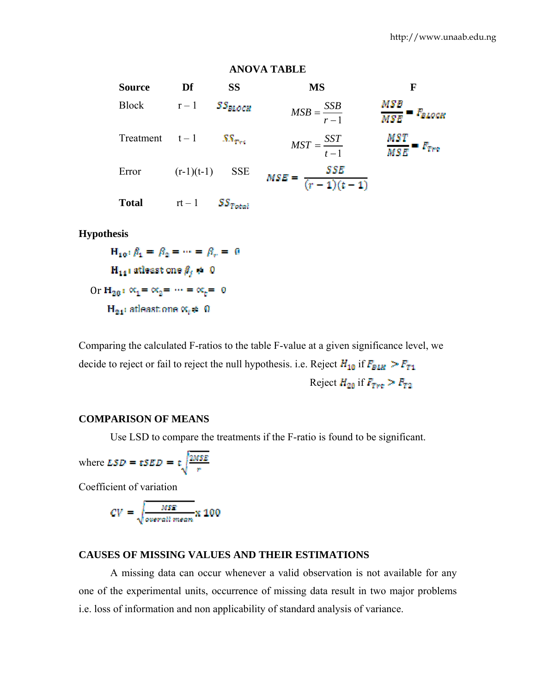#### **ANOVA TABLE**

Source Df SS MS F Block  $r-1$  **SS**BLOCK  $MSB = \frac{SSB}{r-1}$ 1 Treatment  $t-1$  SS<sub>Trt</sub>  $MST = \frac{SST}{t-1}$ 1  $MSE = \frac{SSE}{(r-1)(t-1)}$ Error  $(r-1)(t-1)$  SSE  $Total$   $rt-1$  $SS_{Total}$ 

## **Hypothesis**

 $H_{10}$ :  $\beta_1 = \beta_2 = \cdots = \beta_r = 0$  $H_{14}$  atleast one  $\beta_j \neq 0$ Or  $H_{20}$ :  $\alpha_1 = \alpha_2 = \cdots = \alpha_n = 0$  $H_{24}$ : atleast one  $\propto_t \neq 0$ 

Comparing the calculated F-ratios to the table F-value at a given significance level, we decide to reject or fail to reject the null hypothesis. i.e. Reject  $H_{10}$  if  $F_{BLR} > F_{T1}$ Reject  $H_{20}$  if  $F_{T_{\text{int}}} > F_{T_{2}}$ 

## **COMPARISON OF MEANS**

Use LSD to compare the treatments if the F-ratio is found to be significant.

where 
$$
LSD = \epsilon SED = \epsilon \sqrt{\frac{2MSE}{r}}
$$

Coefficient of variation

$$
CV = \sqrt{\frac{MSE}{overall\ mean}} \times 100
$$

## **CAUSES OF MISSING VALUES AND THEIR ESTIMATIONS**

A missing data can occur whenever a valid observation is not available for any one of the experimental units, occurrence of missing data result in two major problems i.e. loss of information and non applicability of standard analysis of variance.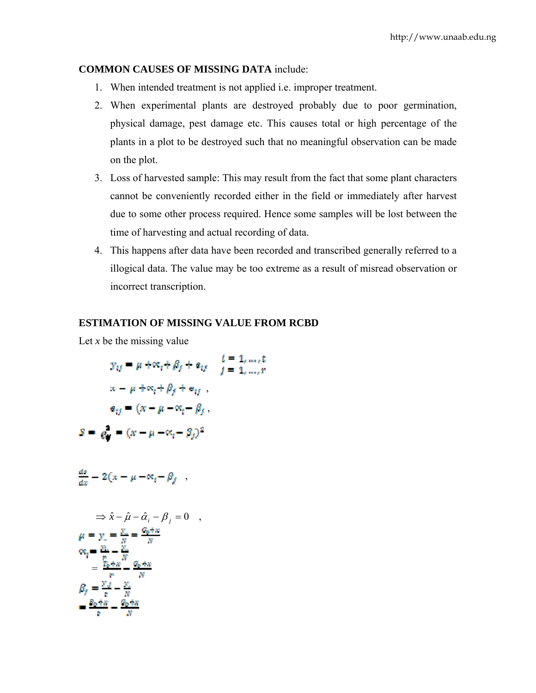## **COMMON CAUSES OF MISSING DATA** include:

- 1. When intended treatment is not applied i.e. improper treatment.
- 2. When experimental plants are destroyed probably due to poor germination, physical damage, pest damage etc. This causes total or high percentage of the plants in a plot to be destroyed such that no meaningful observation can be made on the plot.
- 3. Loss of harvested sample: This may result from the fact that some plant characters cannot be conveniently recorded either in the field or immediately after harvest due to some other process required. Hence some samples will be lost between the time of harvesting and actual recording of data.
- 4. This happens after data have been recorded and transcribed generally referred to a illogical data. The value may be too extreme as a result of misread observation or incorrect transcription.

## **ESTIMATION OF MISSING VALUE FROM RCBD**

Let *x* be the missing value

$$
y_{ij} = \mu + \infty_i + \beta_j + a_{ij} \qquad \begin{aligned} t &= 1, \dots, t \\ t &= 1, \dots, r \end{aligned}
$$
\n
$$
x - \mu + \infty_i + \beta_j + a_{ij}
$$
\n
$$
a_{ij} = (x - \mu - \infty_i - \beta_j)
$$
\n
$$
S = e_i^* = (x - \mu - \infty_i - \beta_j)^2
$$

$$
\frac{ds}{dx} = 2(x - \mu - \alpha_t - \beta_f) ,
$$

$$
\Rightarrow \hat{x} - \hat{\mu} - \hat{\alpha}_i - \beta_j = 0 ,
$$
  
\n
$$
\mu = y_i = \frac{y_i}{N} = \frac{q_0 + w}{N}
$$
  
\n
$$
\alpha_i = \frac{y_i}{N} - \frac{y_i}{N}
$$
  
\n
$$
= \frac{y_0 + w}{N} - \frac{q_0 + w}{N}
$$
  
\n
$$
\beta_i = \frac{y_{i,j}}{v} - \frac{y_{i,j}}{N}
$$
  
\n
$$
= \frac{y_0 + w}{v} - \frac{q_0 + w}{N}
$$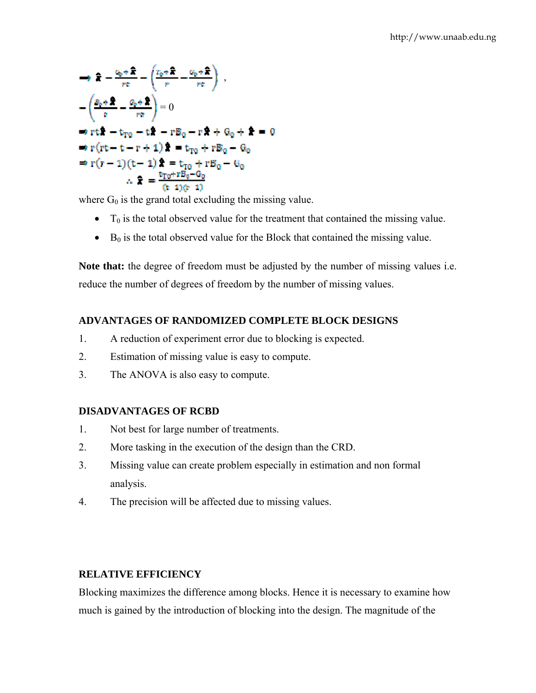$$
\Rightarrow \hat{\mathbf{x}} - \frac{c_0 + \hat{\mathbf{x}}}{re} - \left(\frac{r_0 + \hat{\mathbf{x}}}{re} - \frac{c_0 + \hat{\mathbf{x}}}{re}\right),
$$
  
\n
$$
-\left(\frac{p_0 + \hat{\mathbf{x}}}{e} - \frac{c_0 + \hat{\mathbf{x}}}{re}\right) = 0
$$
  
\n
$$
\Rightarrow rt\hat{\mathbf{x}} - t_{\text{TO}} - t\hat{\mathbf{x}} - rB_0 - r\hat{\mathbf{x}} + \theta_0 + \hat{\mathbf{x}} = 0
$$
  
\n
$$
\Rightarrow r(rt - t - r + 1)\hat{\mathbf{x}} = t_{\text{TO}} + rB_0 - \theta_0
$$
  
\n
$$
\Rightarrow r(r - 1)(t - 1)\hat{\mathbf{x}} = t_{\text{TO}} + rB_0 - \theta_0
$$
  
\n
$$
\therefore \hat{\mathbf{x}} = \frac{t_{\text{TO}} + rB_0 - \theta_0}{(t - 1)(r - 1)}
$$

where  $G_0$  is the grand total excluding the missing value.

- $T_0$  is the total observed value for the treatment that contained the missing value.
- $\bullet$  B<sub>0</sub> is the total observed value for the Block that contained the missing value.

**Note that:** the degree of freedom must be adjusted by the number of missing values i.e. reduce the number of degrees of freedom by the number of missing values.

# **ADVANTAGES OF RANDOMIZED COMPLETE BLOCK DESIGNS**

- 1. A reduction of experiment error due to blocking is expected.
- 2. Estimation of missing value is easy to compute.
- 3. The ANOVA is also easy to compute.

# **DISADVANTAGES OF RCBD**

- 1. Not best for large number of treatments.
- 2. More tasking in the execution of the design than the CRD.
- 3. Missing value can create problem especially in estimation and non formal analysis.
- 4. The precision will be affected due to missing values.

# **RELATIVE EFFICIENCY**

Blocking maximizes the difference among blocks. Hence it is necessary to examine how much is gained by the introduction of blocking into the design. The magnitude of the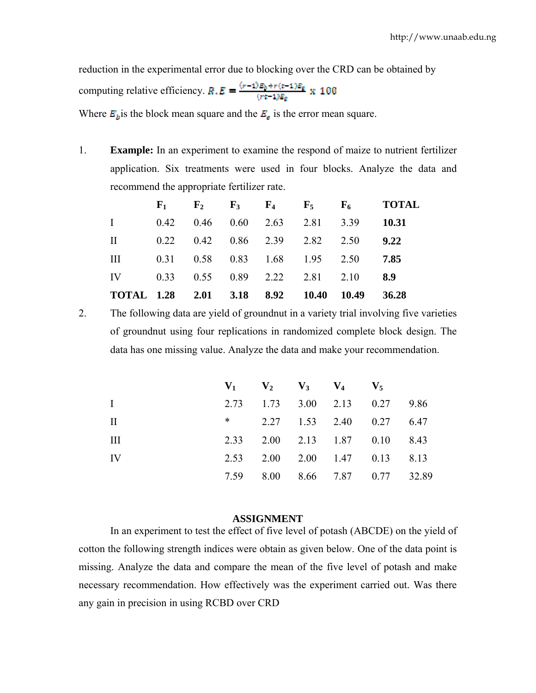reduction in the experimental error due to blocking over the CRD can be obtained by computing relative efficiency.  $R.E = \frac{(r-1)E_0 + r(r-1)E_0}{(rt-1)E_0} \times 100$ 

Where  $\mathbf{E}_b$  is the block mean square and the  $\mathbf{E}_s$  is the error mean square.

1. **Example:** In an experiment to examine the respond of maize to nutrient fertilizer application. Six treatments were used in four blocks. Analyze the data and recommend the appropriate fertilizer rate.

|                                                              |  |  |  | $F_1$ $F_2$ $F_3$ $F_4$ $F_5$ $F_6$ TOTAL |
|--------------------------------------------------------------|--|--|--|-------------------------------------------|
| $1 \t 0.42 \t 0.46 \t 0.60 \t 2.63 \t 2.81 \t 3.39 \t 10.31$ |  |  |  |                                           |
| II $0.22$ $0.42$ $0.86$ $2.39$ $2.82$ $2.50$ $9.22$          |  |  |  |                                           |
| III 0.31 0.58 0.83 1.68 1.95 2.50 7.85                       |  |  |  |                                           |
| IV 0.33 0.55 0.89 2.22 2.81 2.10 8.9                         |  |  |  |                                           |
| TOTAL 1.28 2.01 3.18 8.92 10.40 10.49 36.28                  |  |  |  |                                           |

2. The following data are yield of groundnut in a variety trial involving five varieties of groundnut using four replications in randomized complete block design. The data has one missing value. Analyze the data and make your recommendation.

|              | $V_1$ $V_2$ $V_3$ $V_4$ $V_5$ |  |                                |  |
|--------------|-------------------------------|--|--------------------------------|--|
| $\mathbf{I}$ |                               |  | 2.73 1.73 3.00 2.13 0.27 9.86  |  |
| H.           |                               |  | * $2.27$ 1.53 2.40 0.27 6.47   |  |
| Ш            |                               |  | 2.33 2.00 2.13 1.87 0.10 8.43  |  |
| IV           |                               |  | 2.53 2.00 2.00 1.47 0.13 8.13  |  |
|              |                               |  | 7.59 8.00 8.66 7.87 0.77 32.89 |  |

#### **ASSIGNMENT**

In an experiment to test the effect of five level of potash (ABCDE) on the yield of cotton the following strength indices were obtain as given below. One of the data point is missing. Analyze the data and compare the mean of the five level of potash and make necessary recommendation. How effectively was the experiment carried out. Was there any gain in precision in using RCBD over CRD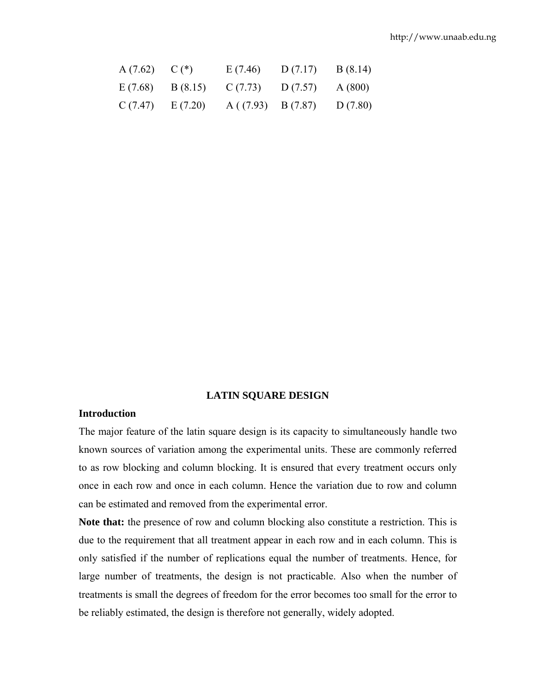| A(7.62) | $C(*)$  | E(7.46)                   | D(7.17) | B(8.14) |
|---------|---------|---------------------------|---------|---------|
| E(7.68) | B(8.15) | C(7.73)                   | D(7.57) | A(800)  |
| C(7.47) | E(7.20) | $A((7.93) \quad B(7.87))$ |         | D(7.80) |

## **LATIN SQUARE DESIGN**

## **Introduction**

The major feature of the latin square design is its capacity to simultaneously handle two known sources of variation among the experimental units. These are commonly referred to as row blocking and column blocking. It is ensured that every treatment occurs only once in each row and once in each column. Hence the variation due to row and column can be estimated and removed from the experimental error.

**Note that:** the presence of row and column blocking also constitute a restriction. This is due to the requirement that all treatment appear in each row and in each column. This is only satisfied if the number of replications equal the number of treatments. Hence, for large number of treatments, the design is not practicable. Also when the number of treatments is small the degrees of freedom for the error becomes too small for the error to be reliably estimated, the design is therefore not generally, widely adopted.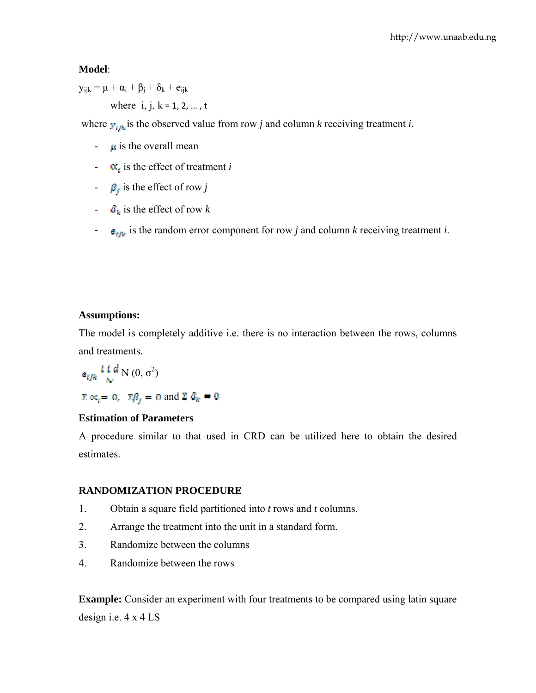# **Model**:

 $y_{ijk} = \mu + \alpha_i + \beta_i + \delta_k + e_{ijk}$ where  $i, j, k = 1, 2, ..., t$ 

where  $y_{ijk}$  is the observed value from row *j* and column *k* receiving treatment *i*.

- $\mu$  is the overall mean
- $-\alpha_i$  is the effect of treatment *i*
- $\theta_i$  is the effect of row *j*
- $\cdot$   $\delta_k$  is the effect of row *k*
- $\epsilon_{\text{trk}}$  is the random error component for row *j* and column *k* receiving treatment *i*.

# **Assumptions:**

The model is completely additive i.e. there is no interaction between the rows, columns and treatments.

$$
e_{ijk} \frac{t \ t \ d}{\infty} N(0, \sigma^2)
$$
  

$$
\Sigma \propto_e = \Omega_e \quad \Sigma \beta_f = 0 \text{ and } \Sigma \ \delta_k = 0
$$

# **Estimation of Parameters**

A procedure similar to that used in CRD can be utilized here to obtain the desired estimates.

# **RANDOMIZATION PROCEDURE**

- 1. Obtain a square field partitioned into *t* rows and *t* columns.
- 2. Arrange the treatment into the unit in a standard form.
- 3. Randomize between the columns
- 4. Randomize between the rows

**Example:** Consider an experiment with four treatments to be compared using latin square design i.e. 4 x 4 LS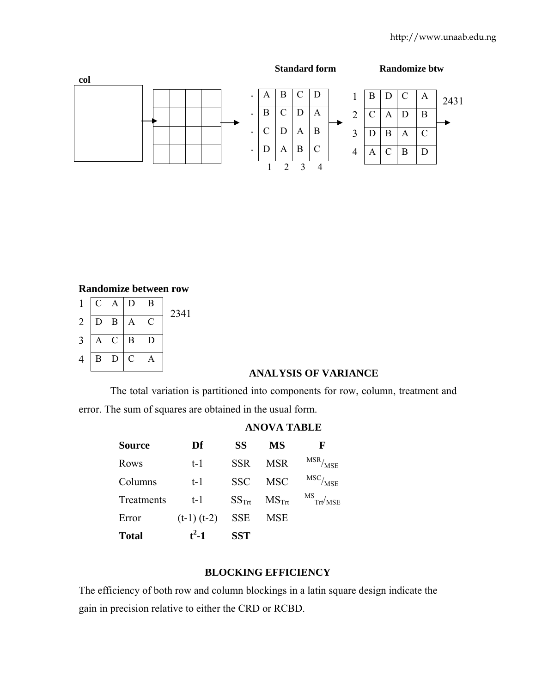

#### **Randomize between row**

| $\mathbf{1}$   |          | $C \mid A \mid D$ |                | B             | 2341 |
|----------------|----------|-------------------|----------------|---------------|------|
| $\overline{2}$ |          | $D \mid B \mid A$ |                | $\mathcal{C}$ |      |
| 3              |          | $A \mid C \mid B$ |                | D             |      |
| 4              | $\bf{B}$ | D                 | $\overline{C}$ | Α             |      |

# **ANALYSIS OF VARIANCE**

The total variation is partitioned into components for row, column, treatment and error. The sum of squares are obtained in the usual form.

| <b>Source</b> | Df              | <b>SS</b>         | <b>MS</b>         | F                                         |
|---------------|-----------------|-------------------|-------------------|-------------------------------------------|
| Rows          | t-1             | <b>SSR</b>        | <b>MSR</b>        | $\frac{\text{MSR}}{\text{MSE}}$           |
| Columns       | $t-1$           | <b>SSC</b>        | <b>MSC</b>        | $\mathrm{MSC}/_{\mathrm{MSE}}$            |
| Treatments    | $t-1$           | $SS_{\text{Trf}}$ | $MS_{\text{Trt}}$ | $\frac{\text{MS}}{\text{Trt}/\text{MSE}}$ |
| Error         | $(t-1)$ $(t-2)$ | <b>SSE</b>        | <b>MSE</b>        |                                           |
| <b>Total</b>  | $t^2-1$         | <b>SST</b>        |                   |                                           |

#### **ANOVA TABLE**

#### **BLOCKING EFFICIENCY**

The efficiency of both row and column blockings in a latin square design indicate the gain in precision relative to either the CRD or RCBD.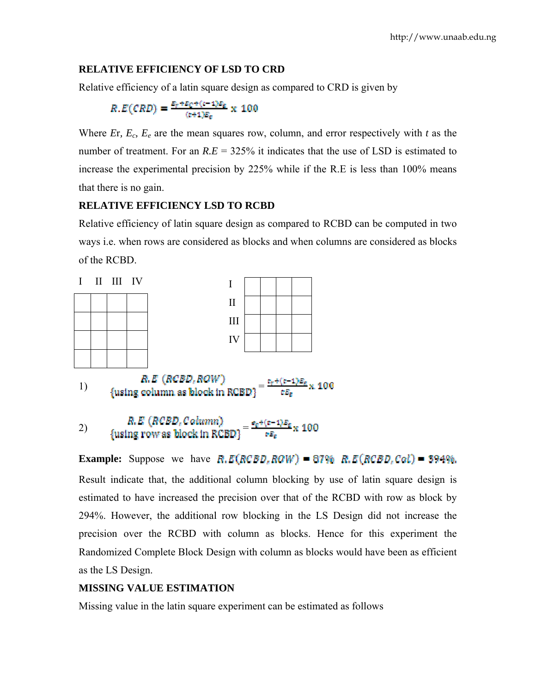## **RELATIVE EFFICIENCY OF LSD TO CRD**

Relative efficiency of a latin square design as compared to CRD is given by

$$
R.E(CRD) = \frac{E_r + E_C + (c - 1)E_E}{(c + 1)E_E} \times 100
$$

Where *E*r,  $E_c$ ,  $E_e$  are the mean squares row, column, and error respectively with *t* as the number of treatment. For an  $R.E = 325\%$  it indicates that the use of LSD is estimated to increase the experimental precision by 225% while if the R.E is less than 100% means that there is no gain.

## **RELATIVE EFFICIENCY LSD TO RCBD**

Relative efficiency of latin square design as compared to RCBD can be computed in two ways i.e. when rows are considered as blocks and when columns are considered as blocks of the RCBD.

|  | I II III IV |                           |  |  |
|--|-------------|---------------------------|--|--|
|  |             | $\mathbf{I}$              |  |  |
|  |             | III                       |  |  |
|  |             | IV                        |  |  |
|  |             |                           |  |  |
|  |             | <b>B.R. CHAINEY BANKS</b> |  |  |

1)  ${\arccos \frac{\arccos \ln x}{1}}$   ${\arccos \ln x}$   ${\arccos \ln x}$   ${\arccos \ln x}$   ${\arccos \ln x}$   ${\arccos \ln x}$   ${\arccos \ln x}$   ${\arccos \ln x}$ 

2)  $R.E (RCBD, Column)$ <br>{using row as block in RCBD}  $= \frac{e_0 + (e-1)E_0}{eE_0} \times 100$ 

**Example:** Suppose we have  $R.E(RCBD, ROW) = 87\% R.E(RCBD, Cal) = 394\%$ . Result indicate that, the additional column blocking by use of latin square design is estimated to have increased the precision over that of the RCBD with row as block by 294%. However, the additional row blocking in the LS Design did not increase the precision over the RCBD with column as blocks. Hence for this experiment the Randomized Complete Block Design with column as blocks would have been as efficient as the LS Design.

# **MISSING VALUE ESTIMATION**

Missing value in the latin square experiment can be estimated as follows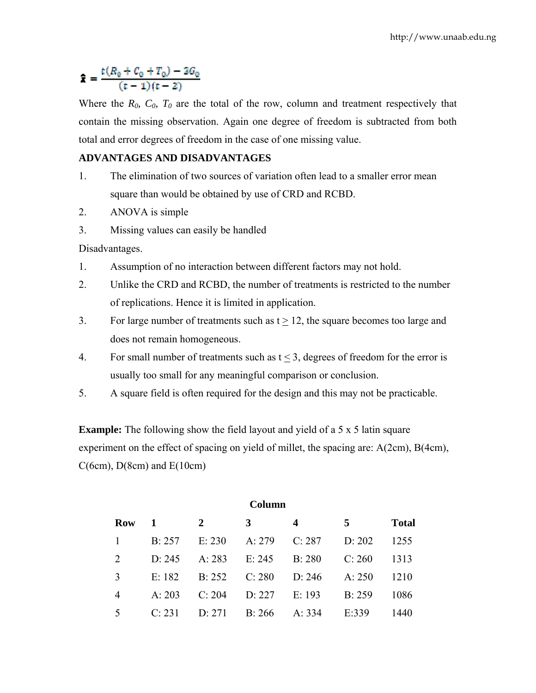# $\hat{\mathbf{x}} = \frac{t(R_0 + C_0 + T_0) - 2G_0}{(t - 1)(t - 2)}$

Where the  $R_0$ ,  $C_0$ ,  $T_0$  are the total of the row, column and treatment respectively that contain the missing observation. Again one degree of freedom is subtracted from both total and error degrees of freedom in the case of one missing value.

# **ADVANTAGES AND DISADVANTAGES**

- 1. The elimination of two sources of variation often lead to a smaller error mean square than would be obtained by use of CRD and RCBD.
- 2. ANOVA is simple
- 3. Missing values can easily be handled

Disadvantages.

- 1. Assumption of no interaction between different factors may not hold.
- 2. Unlike the CRD and RCBD, the number of treatments is restricted to the number of replications. Hence it is limited in application.
- 3. For large number of treatments such as  $t \ge 12$ , the square becomes too large and does not remain homogeneous.
- 4. For small number of treatments such as  $t < 3$ , degrees of freedom for the error is usually too small for any meaningful comparison or conclusion.
- 5. A square field is often required for the design and this may not be practicable.

**Example:** The following show the field layout and yield of a 5 x 5 latin square experiment on the effect of spacing on yield of millet, the spacing are: A(2cm), B(4cm),  $C(6cm)$ ,  $D(8cm)$  and  $E(10cm)$ 

| Column     |        |                |        |                  |        |              |
|------------|--------|----------------|--------|------------------|--------|--------------|
| <b>Row</b> | -1     | $\overline{2}$ | 3      | $\boldsymbol{4}$ | 5      | <b>Total</b> |
|            | B: 257 | E: 230         | A: 279 | C: 287           | D: 202 | 1255         |
| 2          | D: 245 | A: 283         | E: 245 | B: 280           | C: 260 | 1313         |
| 3          | E: 182 | B: 252         | C: 280 | D: 246           | A: 250 | 1210         |
| 4          | A: 203 | C: 204         | D: 227 | E: 193           | B: 259 | 1086         |
| 5          | C: 231 | D: 271         | B: 266 | A: 334           | E:339  | 1440         |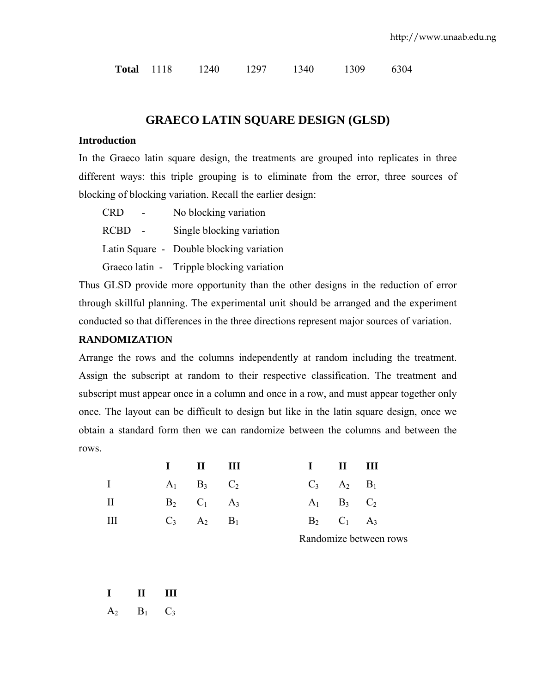|  | <b>Total</b> 1118 |  | 1240 | 1297 | 1340 | 1309 | 6304 |
|--|-------------------|--|------|------|------|------|------|
|--|-------------------|--|------|------|------|------|------|

# **GRAECO LATIN SQUARE DESIGN (GLSD)**

## **Introduction**

In the Graeco latin square design, the treatments are grouped into replicates in three different ways: this triple grouping is to eliminate from the error, three sources of blocking of blocking variation. Recall the earlier design:

| <b>CRD</b>  | No blocking variation                     |
|-------------|-------------------------------------------|
| <b>RCBD</b> | Single blocking variation                 |
|             | Latin Square - Double blocking variation  |
|             | Graeco latin - Tripple blocking variation |

Thus GLSD provide more opportunity than the other designs in the reduction of error through skillful planning. The experimental unit should be arranged and the experiment conducted so that differences in the three directions represent major sources of variation.

## **RANDOMIZATION**

Arrange the rows and the columns independently at random including the treatment. Assign the subscript at random to their respective classification. The treatment and subscript must appear once in a column and once in a row, and must appear together only once. The layout can be difficult to design but like in the latin square design, once we obtain a standard form then we can randomize between the columns and between the rows.

|          | $I$ $II$ $III$    |  | $I$ $II$ $III$    |  |
|----------|-------------------|--|-------------------|--|
| $\bf{I}$ | $A_1$ $B_3$ $C_2$ |  | $C_3$ $A_2$ $B_1$ |  |
| П        | $B_2$ $C_1$ $A_3$ |  | $A_1$ $B_3$ $C_2$ |  |
| Ш        | $C_3$ $A_2$ $B_1$ |  | $B_2$ $C_1$ $A_3$ |  |

Randomize between rows

**I II III** 

 $A_2$   $B_1$   $C_3$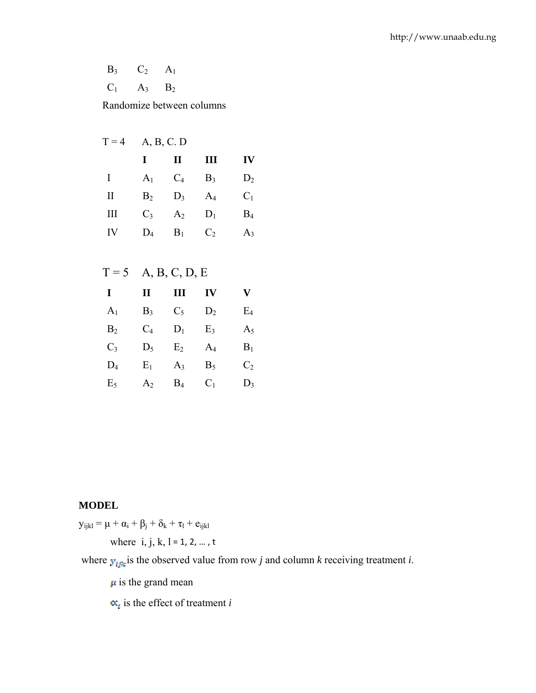$B_3$   $C_2$   $A_1$  $C_1$   $A_3$   $B_2$ 

Randomize between columns

|          | $T = 4$ A, B, C. D |                |                |       |
|----------|--------------------|----------------|----------------|-------|
|          | I                  | $\mathbf{I}$   | Ш              | IV    |
| I        | A <sub>1</sub>     | $C_4$          | $B_3$          | $D_2$ |
| $\rm II$ | B <sub>2</sub>     | $D_3$          | $A_4$          | $C_1$ |
| Ш        | $C_3$              | A <sub>2</sub> | $D_1$          | $B_4$ |
| IV       | $D_4$              | $B_1$          | C <sub>2</sub> | $A_3$ |
|          |                    |                |                |       |

| A, B, C, D, E |  |
|---------------|--|
|               |  |

| I              | п          | Ш              | IV             | V              |
|----------------|------------|----------------|----------------|----------------|
| A <sub>1</sub> | $B_3$      | $C_5$          | $D_2$          | E <sub>4</sub> |
| B <sub>2</sub> | $\rm{C}_4$ | $D_1$          | E <sub>3</sub> | $A_5$          |
| $C_3$          | $D_5$      | E <sub>2</sub> | $A_4$          | $B_1$          |
| $D_4$          | $E_1$      | $A_3$          | $B_5$          | C <sub>2</sub> |
| E <sub>5</sub> | $\rm A_2$  | $\rm B_4$      | $C_1$          | $D_3$          |

# **MODEL**

 $y_{ijkl} = \mu + \alpha_i + \beta_j + \delta_k + \tau_l + e_{ijkl}$ 

where  $i, j, k, l = 1, 2, ..., t$ 

where  $y_{\text{time}}$  is the observed value from row *j* and column *k* receiving treatment *i*.

 $\mu$  is the grand mean

 $\alpha_i$  is the effect of treatment *i*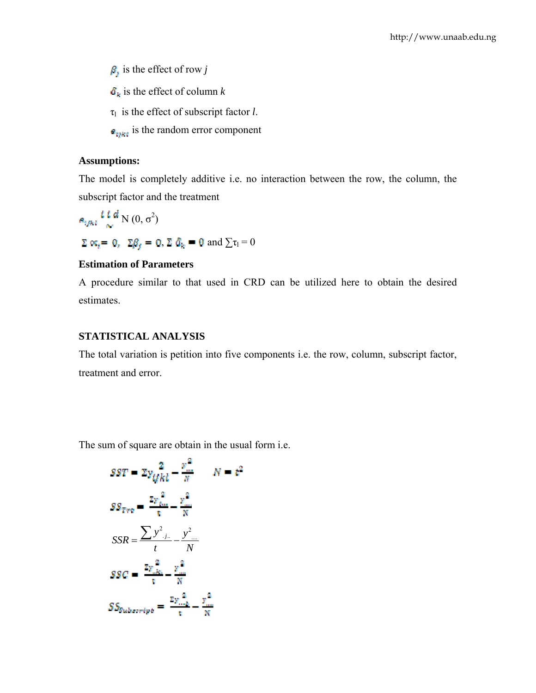$\beta_j$  is the effect of row *j* 

 $\delta_k$  is the effect of column *k* 

 $\tau_1$  is the effect of subscript factor *l*.

 $\epsilon_{\text{inst}}$  is the random error component

## **Assumptions:**

The model is completely additive i.e. no interaction between the row, the column, the subscript factor and the treatment

N  $(0, \sigma^2)$  $\Sigma\propto_t=0,~~\Sigma\beta_f=0,$   $\Sigma\ \delta_k=0$  and  $\sum\tau_l=0$ 

## **Estimation of Parameters**

A procedure similar to that used in CRD can be utilized here to obtain the desired estimates.

## **STATISTICAL ANALYSIS**

The total variation is petition into five components i.e. the row, column, subscript factor, treatment and error.

The sum of square are obtain in the usual form i.e.

$$
SST = 2y_{t} \frac{2}{k} - \frac{y_m^2}{N} \qquad N = \varepsilon^2
$$

$$
SS_{Tre} = \frac{2y_{t_m}^2}{\varepsilon} - \frac{y_m^2}{N}
$$

$$
SSR = \frac{\sum y_{t_m}^2}{t} - \frac{y_m^2}{N}
$$

$$
SSC = \frac{2y_{t_m}^2}{\varepsilon} - \frac{y_m^2}{N}
$$

$$
SS_{Subcorript} = \frac{z_{t_m}^2}{\varepsilon} - \frac{y_m^2}{N}
$$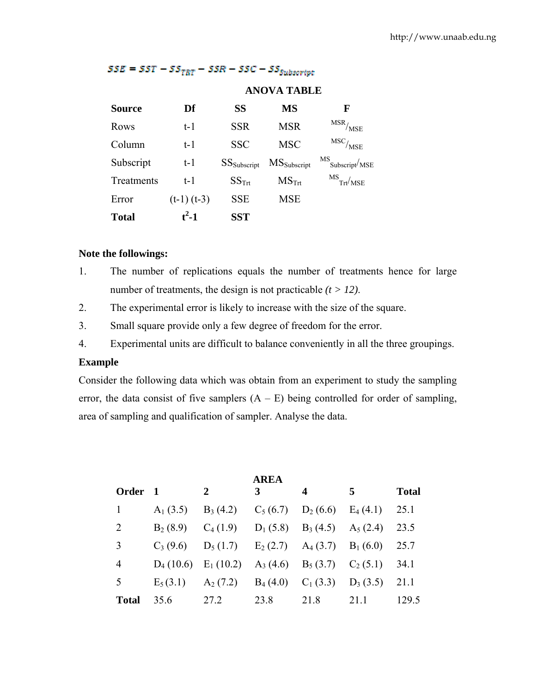|               |                 | <b>ANOVA TABLE</b>      |                     |                                           |  |
|---------------|-----------------|-------------------------|---------------------|-------------------------------------------|--|
| <b>Source</b> | Df              | SS                      | MS                  | F                                         |  |
| Rows          | $t-1$           | <b>SSR</b>              | <b>MSR</b>          | $\mathrm{MSR}_{\textstyle/\mathrm{MSE}}$  |  |
| Column        | $t-1$           | <b>SSC</b>              | <b>MSC</b>          | $\mathrm{MSC}/_{\mathrm{MSE}}$            |  |
| Subscript     | $t-1$           | SS <sub>Subscript</sub> | <b>MS</b> Subscript | MS<br>Subscript <sup>/</sup> MSE          |  |
| Treatments    | t-1             | $SS_{\text{Trt}}$       | $MS_{\text{Trt}}$   | $\frac{\text{MS}}{\text{Trt}/\text{MSE}}$ |  |
| Error         | $(t-1)$ $(t-3)$ | <b>SSE</b>              | <b>MSE</b>          |                                           |  |
| <b>Total</b>  | $t^2-1$         | <b>SST</b>              |                     |                                           |  |

# $SSE = SST - SS_{TRT} - SSR - SSC - SS_{Subsort}$

## **Note the followings:**

- 1. The number of replications equals the number of treatments hence for large number of treatments, the design is not practicable  $(t > 12)$ .
- 2. The experimental error is likely to increase with the size of the square.
- 3. Small square provide only a few degree of freedom for the error.
- 4. Experimental units are difficult to balance conveniently in all the three groupings.

## **Example**

Consider the following data which was obtain from an experiment to study the sampling error, the data consist of five samplers  $(A - E)$  being controlled for order of sampling, area of sampling and qualification of sampler. Analyse the data.

|              |                         |                                             | <b>AREA</b> |                                                                |            |              |
|--------------|-------------------------|---------------------------------------------|-------------|----------------------------------------------------------------|------------|--------------|
| Order 1      |                         | 2                                           | 3           | 4                                                              | 5          | <b>Total</b> |
| 1            | $A_1$ (3.5)             | $B_3(4.2)$                                  | $C_5(6.7)$  | $D_2(6.6)$                                                     | $E_4(4.1)$ | 25.1         |
| 2            | $B_2(8.9)$              | $C_4(1.9)$                                  |             | $D_1 (5.8)$ $B_3 (4.5)$ $A_5 (2.4)$                            |            | 23.5         |
| 3            | $C_3(9.6)$              | $D_5(1.7)$ $E_2(2.7)$ $A_4(3.7)$ $B_1(6.0)$ |             |                                                                |            | 25.7         |
| 4            | $D_4(10.6)$ $E_1(10.2)$ |                                             |             | A <sub>3</sub> (4.6) B <sub>5</sub> (3.7) C <sub>2</sub> (5.1) |            | 34.1         |
| 5            | $E_5(3.1)$              | $A_2(7.2)$                                  |             | $B_4(4.0)$ $C_1(3.3)$                                          | $D_3(3.5)$ | 21.1         |
| <b>Total</b> | 35.6                    | 27.2                                        | 23.8        | 21.8                                                           | 21.1       | 129.5        |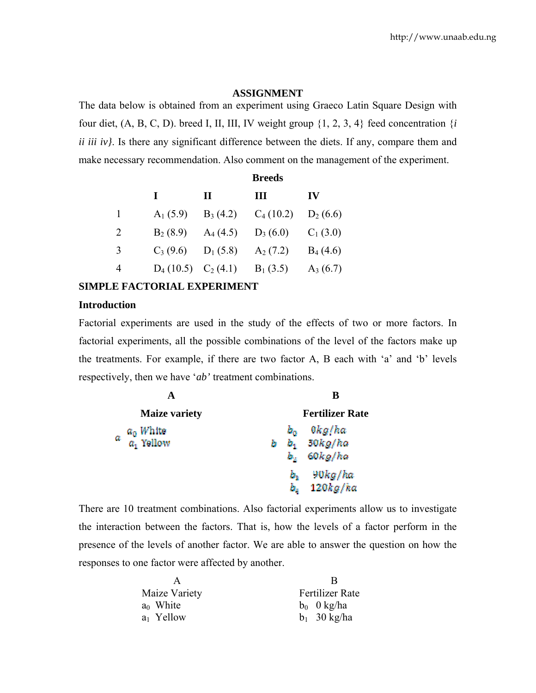#### **ASSIGNMENT**

The data below is obtained from an experiment using Graeco Latin Square Design with four diet,  $(A, B, C, D)$ . breed I, II, III, IV weight group  $\{1, 2, 3, 4\}$  feed concentration  $\{i\}$ *ii iii iv}*. Is there any significant difference between the diets. If any, compare them and make necessary recommendation. Also comment on the management of the experiment.

|   | <b>Breeds</b>          |              |             |               |
|---|------------------------|--------------|-------------|---------------|
|   | L                      | $\mathbf{I}$ | Ш           | $\mathbf{IV}$ |
| 1 | $A_1(5.9)$             | $B_3(4.2)$   | $C_4(10.2)$ | $D_2(6.6)$    |
| 2 | $B_2(8.9)$             | $A_4(4.5)$   | $D_3(6.0)$  | $C_1(3.0)$    |
| 3 | $C_3(9.6)$             | $D_1$ (5.8)  | $A_2(7.2)$  | $B_4(4.6)$    |
| 4 | $D_4(10.5)$ $C_2(4.1)$ |              | $B_1$ (3.5) | $A_3(6.7)$    |

## **SIMPLE FACTORIAL EXPERIMENT**

# **Introduction**

Factorial experiments are used in the study of the effects of two or more factors. In factorial experiments, all the possible combinations of the level of the factors make up the treatments. For example, if there are two factor A, B each with 'a' and 'b' levels respectively, then we have '*ab'* treatment combinations.

|                             | B                      |
|-----------------------------|------------------------|
| <b>Maize variety</b>        | <b>Fertilizer Rate</b> |
| $a_0$ White<br>$a_1$ Yellow | 0kg/ha<br>$b_0$        |
| α                           | $b_1$ 30 $kg/ha$<br>b  |
|                             | 60 kg/ha<br>Ь.         |
|                             | 90kg/ha<br>ь.          |
|                             | 120 kg/ka<br>Ь.        |

There are 10 treatment combinations. Also factorial experiments allow us to investigate the interaction between the factors. That is, how the levels of a factor perform in the presence of the levels of another factor. We are able to answer the question on how the responses to one factor were affected by another.

|               | в                      |
|---------------|------------------------|
| Maize Variety | <b>Fertilizer Rate</b> |
| $a_0$ White   | $b_0$ 0 kg/ha          |
| $a_1$ Yellow  | $b_1$ 30 kg/ha         |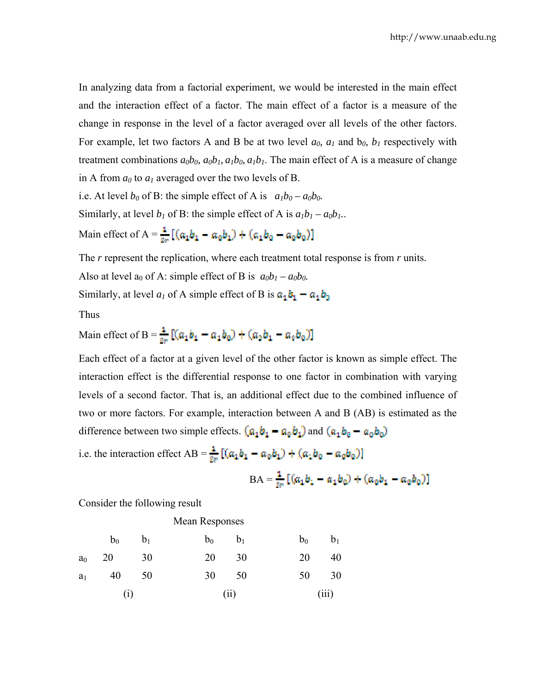In analyzing data from a factorial experiment, we would be interested in the main effect and the interaction effect of a factor. The main effect of a factor is a measure of the change in response in the level of a factor averaged over all levels of the other factors. For example, let two factors A and B be at two level  $a_0$ ,  $a_1$  and  $b_0$ ,  $b_1$  respectively with treatment combinations  $a_0b_0$ ,  $a_0b_1$ ,  $a_1b_0$ ,  $a_1b_1$ . The main effect of A is a measure of change in A from  $a_0$  to  $a_1$  averaged over the two levels of B.

i.e. At level  $b_0$  of B: the simple effect of A is  $a_1b_0 - a_0b_0$ .

Similarly, at level  $b_1$  of B: the simple effect of A is  $a_1b_1 - a_0b_1$ .

Main effect of A =  $\frac{1}{2a} [ (a_1 b_1 - a_0 b_1) + (a_1 b_0 - a_0 b_0) ]$ 

The *r* represent the replication, where each treatment total response is from *r* units.

Also at level  $a_0$  of A: simple effect of B is  $a_0b_1 - a_0b_0$ .

Similarly, at level  $a_1$  of A simple effect of B is  $a_1b_1 - a_1b_2$ 

Thus

Main effect of B =  $\frac{1}{8n} [ (a_1 b_1 - a_1 b_0) + (a_2 b_1 - a_0 b_0) ]$ 

Each effect of a factor at a given level of the other factor is known as simple effect. The interaction effect is the differential response to one factor in combination with varying levels of a second factor. That is, an additional effect due to the combined influence of two or more factors. For example, interaction between A and B (AB) is estimated as the difference between two simple effects.  $(a_1b_1 - a_0b_1)$  and  $(a_1b_0 - a_0b_0)$ 

i.e. the interaction effect  $AB = \frac{1}{2r} [(\alpha_1 b_1 - \alpha_0 b_1) + (\alpha_1 b_0 - \alpha_0 b_0)]$ 

$$
BA = \frac{1}{2r} \left[ (a_1 b_1 - a_1 b_0) + (a_0 b_1 - a_0 b_0) \right]
$$

Consider the following result

Mean Responses

|     | $a_0$ 20 30 |      | 20 30 | 20 40 |  |
|-----|-------------|------|-------|-------|--|
|     | $a_1$ 40 50 |      | 30 50 | 50 30 |  |
| (i) |             | (ii) | (iii) |       |  |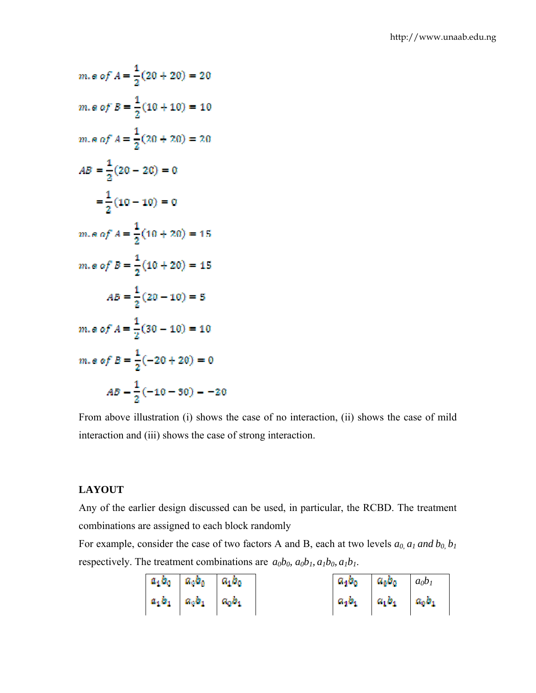m.e of 
$$
A = \frac{1}{2}(20 + 20) = 20
$$
  
\nm.e of  $B = \frac{1}{2}(10 + 10) = 10$   
\nm.e of  $A = \frac{1}{2}(20 + 20) = 20$   
\n $AB = \frac{1}{2}(20 - 20) = 0$   
\n $= \frac{1}{2}(10 - 10) = 0$   
\nm.e of  $A = \frac{1}{2}(10 + 20) = 15$   
\nm.e of  $B = \frac{1}{2}(20 - 10) = 5$   
\n $AB = \frac{1}{2}(20 - 10) = 5$   
\nm.e of  $A = \frac{1}{2}(30 - 10) = 10$   
\nm.e of  $B = \frac{1}{2}(-20 + 20) = 0$   
\n $AB = \frac{1}{2}(-10 - 30) = -20$ 

From above illustration (i) shows the case of no interaction, (ii) shows the case of mild interaction and (iii) shows the case of strong interaction.

# **LAYOUT**

Any of the earlier design discussed can be used, in particular, the RCBD. The treatment combinations are assigned to each block randomly

For example, consider the case of two factors A and B, each at two levels  $a_0$ ,  $a_1$  and  $b_0$ ,  $b_1$ respectively. The treatment combinations are  $a_0b_0$ ,  $a_0b_1$ ,  $a_1b_0$ ,  $a_1b_1$ .

|  | $a_1b_0$ $a_0b_0$ $a_1b_0$                                | $a_1b_0$ $a_8b_0$ $a_0b_1$           |  |
|--|-----------------------------------------------------------|--------------------------------------|--|
|  | $\begin{array}{ccc} a_1b_1 & a_3b_1 & a_0b_1 \end{array}$ | $a_1b_1 \cdots a_1b_1 \cdots a_0b_1$ |  |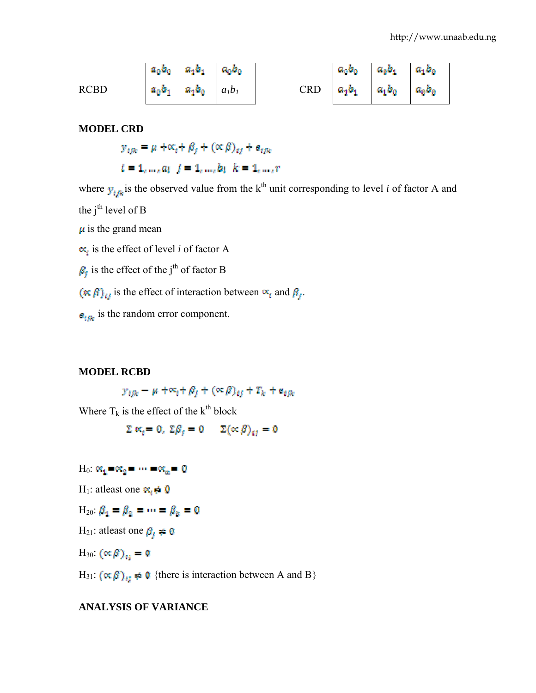RCBD 
$$
a_0b_0
$$
  $a_1b_1$   $a_0b_0$   $a_1b_1$   $a_1b_0$   $a_1b_1$  CRD  $a_1b_1$   $a_1b_0$   $a_0b_0$   $a_0b_0$ 

#### **MODEL CRD**

 $y_{ijk} = \mu + \alpha_i + \beta_i + (\alpha \beta)_{ij} + \beta_{ijk}$  $t = 1, ..., a, j = 1, ..., b, k = 1, ..., r$ 

where  $y_{ijk}$  is the observed value from the k<sup>th</sup> unit corresponding to level *i* of factor A and the  $i<sup>th</sup>$  level of B  $\mu$  is the grand mean  $\alpha_i$  is the effect of level *i* of factor A  $\beta_f$  is the effect of the j<sup>th</sup> of factor B  $(\kappa \beta)_i$  is the effect of interaction between  $\alpha_i$  and  $\beta_i$ .

 $\mathbf{s}_{ijk}$  is the random error component.

## **MODEL RCBD**

 $y_{ijk} - \mu + \infty_i + \beta_j + (\infty \beta)_{ij} + T_k + \alpha_{ijk}$ 

Where  $T_k$  is the effect of the  $k^{th}$  block

$$
\Sigma \kappa_t = 0, \ \Sigma \beta_t = 0 \qquad \Sigma (\propto \beta)_{t} = 0
$$

 $H_0: \mathfrak{K}_1 \otimes \mathfrak{K}_2 \otimes \cdots \otimes \mathfrak{K}_n = 0$ 

H<sub>1</sub>: atleast one  $\mathbf{x}_i \neq \mathbf{0}$ 

$$
H_{20}:\beta_1=\beta_2=\cdots=\beta_k=0
$$

H<sub>21</sub>: atleast one  $\beta_f \neq 0$ 

H<sub>30</sub>:  $(\propto \beta)_{11} = 0$ 

H<sub>31</sub>:  $(\alpha \beta)_{ij} \neq 0$  {there is interaction between A and B}

# **ANALYSIS OF VARIANCE**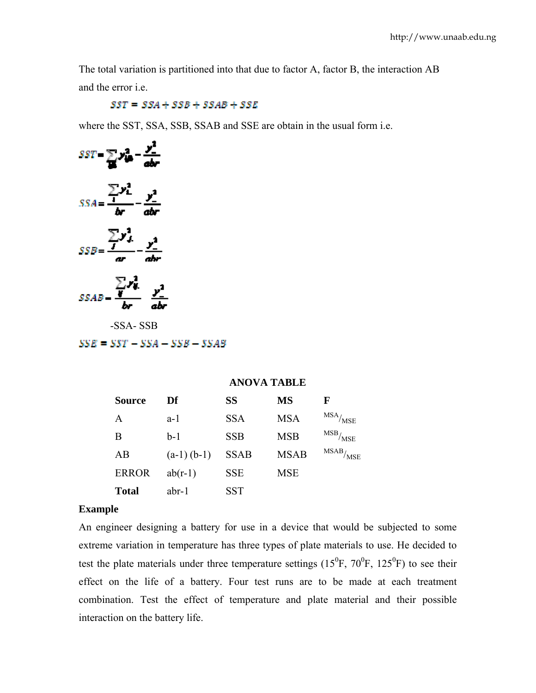The total variation is partitioned into that due to factor A, factor B, the interaction AB and the error i.e.

 $SST = SSA + SSB + SSAB + SSE$ 

where the SST, SSA, SSB, SSAB and SSE are obtain in the usual form i.e.



-SSA- SSB

 $SSE = SST - SSA - SSB - SSAB$ 

#### **ANOVA TABLE**

| <b>Source</b> | Dť            | SS          | <b>MS</b>   | F                               |
|---------------|---------------|-------------|-------------|---------------------------------|
| Α             | $a-1$         | <b>SSA</b>  | <b>MSA</b>  | $MSA$ / $MSE$                   |
| B             | b-1           | <b>SSB</b>  | <b>MSB</b>  | $\frac{\text{MSB}}{\text{MSE}}$ |
| AB            | $(a-1)$ (b-1) | <b>SSAB</b> | <b>MSAB</b> | $\text{MSAB}_{\text{/MSE}}$     |
| <b>ERROR</b>  | $ab(r-1)$     | <b>SSE</b>  | <b>MSE</b>  |                                 |
| <b>Total</b>  | $abr-1$       | <b>SST</b>  |             |                                 |

## **Example**

An engineer designing a battery for use in a device that would be subjected to some extreme variation in temperature has three types of plate materials to use. He decided to test the plate materials under three temperature settings  $(15^{\circ}F, 70^{\circ}F, 125^{\circ}F)$  to see their effect on the life of a battery. Four test runs are to be made at each treatment combination. Test the effect of temperature and plate material and their possible interaction on the battery life.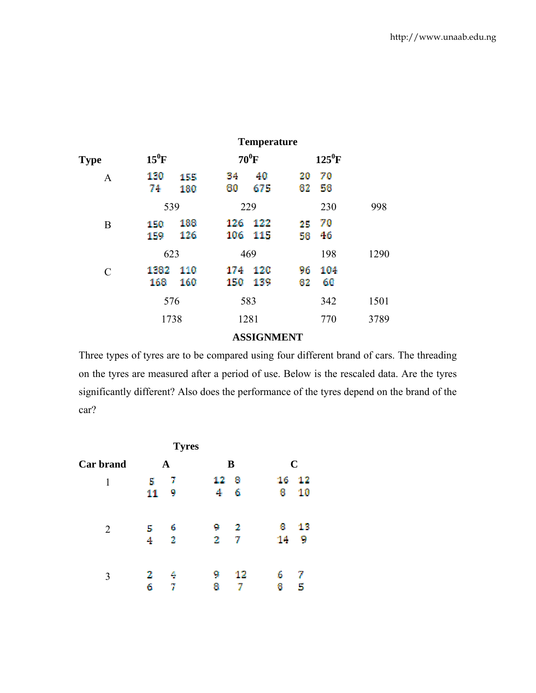|               |             |            |            | <b>Temperature</b> |          |           |      |
|---------------|-------------|------------|------------|--------------------|----------|-----------|------|
| <b>Type</b>   | $15^0$ F    |            | $70^0$ F   |                    |          | $125^0$ F |      |
| $\mathbf{A}$  | 130<br>74   | 155<br>180 | 34<br>60   | 40<br>675          | 20<br>62 | 70<br>58  |      |
|               | 539         |            | 229        |                    |          | 230       | 998  |
| B             | 150<br>159  | 188<br>126 | 126<br>106 | 122<br>115         | 25<br>58 | 70<br>46  |      |
|               | 623         |            | 469        |                    |          | 198       | 1290 |
| $\mathcal{C}$ | 1382<br>168 | 110<br>160 | 174<br>150 | 120<br>139         | 96<br>82 | 104<br>60 |      |
|               | 576         |            |            | 583                |          | 342       | 1501 |
|               | 1738        |            |            | 1281               |          | 770       | 3789 |

# **ASSIGNMENT**

Three types of tyres are to be compared using four different brand of cars. The threading on the tyres are measured after a period of use. Below is the rescaled data. Are the tyres significantly different? Also does the performance of the tyres depend on the brand of the car?

| <b>Tyres</b>     |    |             |    |    |    |             |  |
|------------------|----|-------------|----|----|----|-------------|--|
| <b>Car brand</b> |    | $\mathbf A$ |    | B  |    | $\mathbf C$ |  |
| 1                | 5  | 7           | 12 | 8  | 16 | 12          |  |
|                  | 11 | 9           | 4  | 6  | 8  | 10          |  |
| $\overline{2}$   | 5  | 6           | 9  | 2  | 8  | 13          |  |
|                  | 4  | 2           | 2  | 7  | 14 | 9           |  |
| 3                | 2  |             | 9  | 12 | 6  | 7           |  |
|                  | 6  | 7           | 8  |    | 8  | 5           |  |